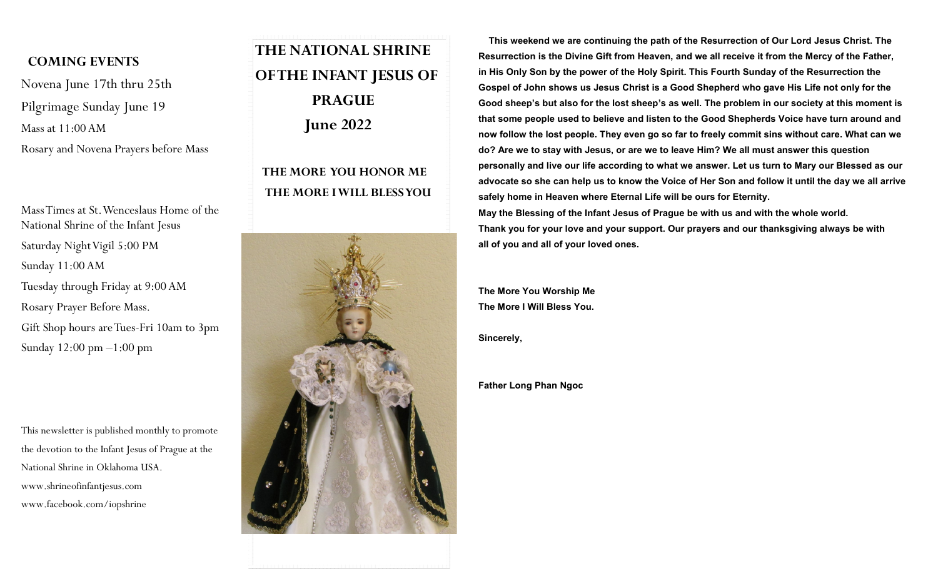## **COMING EVENTS**

Novena June 17th thru 25th Pilgrimage Sunday June 19 Mass at 11:00 AM

Rosary and Novena Prayers before Mass

Mass Times at St. Wenceslaus Home of the National Shrine of the Infant Jesus Saturday Night Vigil 5:00 PM Sunday 11:00 AM Tuesday through Friday at 9:00 AM Rosary Prayer Before Mass. Gift Shop hours are Tues-Fri 10am to 3pm Sunday 12:00 pm –1:00 pm

This newsletter is published monthly to promote the devotion to the Infant Jesus of Prague at the National Shrine in Oklahoma USA. www.shrineofinfantjesus.com www.facebook.com/iopshrine

## **THE NATIONAL SHRINE OF THE INFANT JESUS OF PRAGUE June 2022**

## **THE MORE YOU HONOR ME THE MORE I WILL BLESS YOU**



 **This weekend we are continuing the path of the Resurrection of Our Lord Jesus Christ. The Resurrection is the Divine Gift from Heaven, and we all receive it from the Mercy of the Father, in His Only Son by the power of the Holy Spirit. This Fourth Sunday of the Resurrection the Gospel of John shows us Jesus Christ is a Good Shepherd who gave His Life not only for the Good sheep's but also for the lost sheep's as well. The problem in our society at this moment is that some people used to believe and listen to the Good Shepherds Voice have turn around and now follow the lost people. They even go so far to freely commit sins without care. What can we do? Are we to stay with Jesus, or are we to leave Him? We all must answer this question personally and live our life according to what we answer. Let us turn to Mary our Blessed as our advocate so she can help us to know the Voice of Her Son and follow it until the day we all arrive safely home in Heaven where Eternal Life will be ours for Eternity. May the Blessing of the Infant Jesus of Prague be with us and with the whole world.**

**Thank you for your love and your support. Our prayers and our thanksgiving always be with all of you and all of your loved ones.**

**The More You Worship Me The More I Will Bless You.**

**Sincerely,**

**Father Long Phan Ngoc**